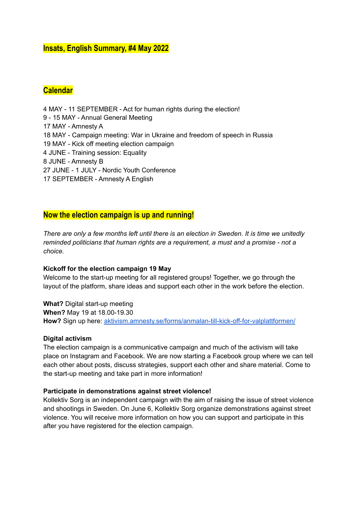## **Insats, English Summary, #4 May 2022**

# **Calendar**

 MAY - 11 SEPTEMBER - Act for human rights during the election! - 15 MAY - Annual General Meeting MAY - Amnesty A MAY - Campaign meeting: War in Ukraine and freedom of speech in Russia MAY - Kick off meeting election campaign JUNE - Training session: Equality JUNE - Amnesty B JUNE - 1 JULY - Nordic Youth Conference SEPTEMBER - Amnesty A English

## **Now the election campaign is up and running!**

There are only a few months left until there is an election in Sweden. It is time we unitedly *reminded politicians that human rights are a requirement, a must and a promise - not a choice.*

## **Kickoff for the election campaign 19 May**

Welcome to the start-up meeting for all registered groups! Together, we go through the layout of the platform, share ideas and support each other in the work before the election.

**What?** Digital start-up meeting **When?** May 19 at 18.00-19.30 How? Sign up here: [aktivism.amnesty.se/forms/anmalan-till-kick-off-for-valplattformen/](https://aktivism.amnesty.se/forms/anmalan-till-kick-off-for-valplattformen/)

## **Digital activism**

The election campaign is a communicative campaign and much of the activism will take place on Instagram and Facebook. We are now starting a Facebook group where we can tell each other about posts, discuss strategies, support each other and share material. Come to the start-up meeting and take part in more information!

## **Participate in demonstrations against street violence!**

Kollektiv Sorg is an independent campaign with the aim of raising the issue of street violence and shootings in Sweden. On June 6, Kollektiv Sorg organize demonstrations against street violence. You will receive more information on how you can support and participate in this after you have registered for the election campaign.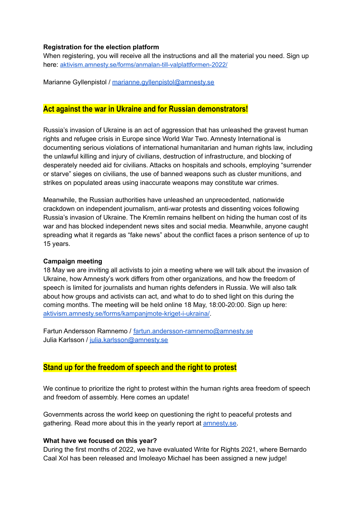#### **Registration for the election platform**

When registering, you will receive all the instructions and all the material you need. Sign up here: [aktivism.amnesty.se/forms/anmalan-till-valplattformen-2022/](https://aktivism.amnesty.se/forms/anmalan-till-valplattformen-2022/)

Marianne Gyllenpistol / [marianne.gyllenpistol@amnesty.se](mailto:marianne.gyllenpistol@amnesty.se)

## **Act against the war in Ukraine and for Russian demonstrators!**

Russia's invasion of Ukraine is an act of aggression that has unleashed the gravest human rights and refugee crisis in Europe since World War Two. Amnesty International is documenting serious violations of international humanitarian and human rights law, including the unlawful killing and injury of civilians, destruction of infrastructure, and blocking of desperately needed aid for civilians. Attacks on hospitals and schools, employing "surrender or starve" sieges on civilians, the use of banned weapons such as cluster munitions, and strikes on populated areas using inaccurate weapons may constitute war crimes.

Meanwhile, the Russian authorities have unleashed an unprecedented, nationwide crackdown on independent journalism, anti-war protests and dissenting voices following Russia's invasion of Ukraine. The Kremlin remains hellbent on hiding the human cost of its war and has blocked independent news sites and social media. Meanwhile, anyone caught spreading what it regards as "fake news" about the conflict faces a prison sentence of up to 15 years.

## **Campaign meeting**

18 May we are inviting all activists to join a meeting where we will talk about the invasion of Ukraine, how Amnesty's work differs from other organizations, and how the freedom of speech is limited for journalists and human rights defenders in Russia. We will also talk about how groups and activists can act, and what to do to shed light on this during the coming months. The meeting will be held online 18 May, 18:00-20:00. Sign up here: [aktivism.amnesty.se/forms/kampanjmote-kriget-i-ukraina/](https://aktivism.amnesty.se/forms/kampanjmote-kriget-i-ukraina/).

Fartun Andersson Ramnemo / [fartun.andersson-ramnemo@amnesty.se](mailto:fartun.andersson-ramnemo@amnesty.se) Julia Karlsson / [julia.karlsson@amnesty.se](mailto:julia.karlsson@amnesty.se)

## **Stand up for the freedom of speech and the right to protest**

We continue to prioritize the right to protest within the human rights area freedom of speech and freedom of assembly. Here comes an update!

Governments across the world keep on questioning the right to peaceful protests and gathering. Read more about this in the yearly report at **amnesty.se**.

## **What have we focused on this year?**

During the first months of 2022, we have evaluated Write for Rights 2021, where Bernardo Caal Xol has been released and Imoleayo Michael has been assigned a new judge!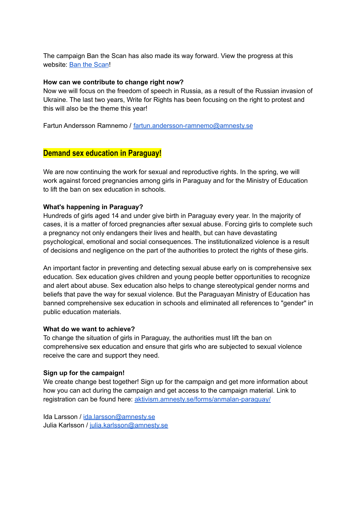The campaign Ban the Scan has also made its way forward. View the progress at this website: Ban the [Scan](https://banthescan.amnesty.org/decode/)!

#### **How can we contribute to change right now?**

Now we will focus on the freedom of speech in Russia, as a result of the Russian invasion of Ukraine. The last two years, Write for Rights has been focusing on the right to protest and this will also be the theme this year!

Fartun Andersson Ramnemo / [fartun.andersson-ramnemo@amnesty.se](mailto:fartun.andersson-ramnemo@amnesty.se)

## **Demand sex education in Paraguay!**

We are now continuing the work for sexual and reproductive rights. In the spring, we will work against forced pregnancies among girls in Paraguay and for the Ministry of Education to lift the ban on sex education in schools.

## **What's happening in Paraguay?**

Hundreds of girls aged 14 and under give birth in Paraguay every year. In the majority of cases, it is a matter of forced pregnancies after sexual abuse. Forcing girls to complete such a pregnancy not only endangers their lives and health, but can have devastating psychological, emotional and social consequences. The institutionalized violence is a result of decisions and negligence on the part of the authorities to protect the rights of these girls.

An important factor in preventing and detecting sexual abuse early on is comprehensive sex education. Sex education gives children and young people better opportunities to recognize and alert about abuse. Sex education also helps to change stereotypical gender norms and beliefs that pave the way for sexual violence. But the Paraguayan Ministry of Education has banned comprehensive sex education in schools and eliminated all references to "gender" in public education materials.

## **What do we want to achieve?**

To change the situation of girls in Paraguay, the authorities must lift the ban on comprehensive sex education and ensure that girls who are subjected to sexual violence receive the care and support they need.

## **Sign up for the campaign!**

We create change best together! Sign up for the campaign and get more information about how you can act during the campaign and get access to the campaign material. Link to registration can be found here: [aktivism.amnesty.se/forms/anmalan-paraguay/](https://aktivism.amnesty.se/forms/anmalan-paraguay/)

Ida Larsson / [ida.larsson@amnesty.se](mailto:ida.larsson@amnesty.se) Julia Karlsson / [julia.karlsson@amnesty.se](mailto:julia.karlsson@amnesty.se)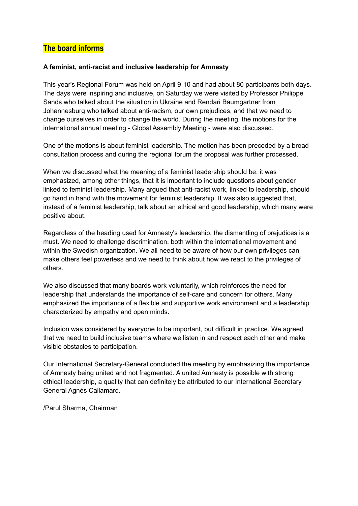# **The board informs**

## **A feminist, anti-racist and inclusive leadership for Amnesty**

This year's Regional Forum was held on April 9-10 and had about 80 participants both days. The days were inspiring and inclusive, on Saturday we were visited by Professor Philippe Sands who talked about the situation in Ukraine and Rendari Baumgartner from Johannesburg who talked about anti-racism, our own prejudices, and that we need to change ourselves in order to change the world. During the meeting, the motions for the international annual meeting - Global Assembly Meeting - were also discussed.

One of the motions is about feminist leadership. The motion has been preceded by a broad consultation process and during the regional forum the proposal was further processed.

When we discussed what the meaning of a feminist leadership should be, it was emphasized, among other things, that it is important to include questions about gender linked to feminist leadership. Many argued that anti-racist work, linked to leadership, should go hand in hand with the movement for feminist leadership. It was also suggested that, instead of a feminist leadership, talk about an ethical and good leadership, which many were positive about.

Regardless of the heading used for Amnesty's leadership, the dismantling of prejudices is a must. We need to challenge discrimination, both within the international movement and within the Swedish organization. We all need to be aware of how our own privileges can make others feel powerless and we need to think about how we react to the privileges of others.

We also discussed that many boards work voluntarily, which reinforces the need for leadership that understands the importance of self-care and concern for others. Many emphasized the importance of a flexible and supportive work environment and a leadership characterized by empathy and open minds.

Inclusion was considered by everyone to be important, but difficult in practice. We agreed that we need to build inclusive teams where we listen in and respect each other and make visible obstacles to participation.

Our International Secretary-General concluded the meeting by emphasizing the importance of Amnesty being united and not fragmented. A united Amnesty is possible with strong ethical leadership, a quality that can definitely be attributed to our International Secretary General Agnés Callamard.

/Parul Sharma, Chairman